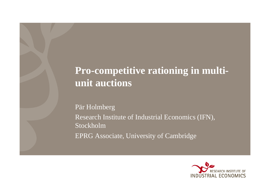#### **Pro-competitive rationing in multiunit auctions**

Pär Holmberg Research Institute of Industrial Economics (IFN), Stockholm EPRG Associate, University of Cambridge

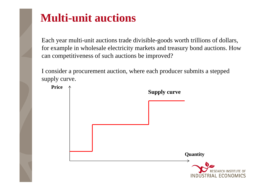#### **Multi-unit auctions**

Each year multi-unit auctions trade divisible-goods worth trillions of dollars, for example in wholesale electricity markets and treasury bond auctions. How can competitiveness of such auctions be improved?

I consider a procurement auction, where each producer submits a stepped supply curve.

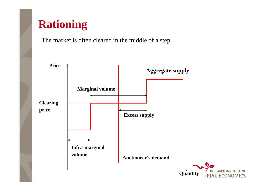#### **Rationing**

The market is often cleared in the middle of a step.

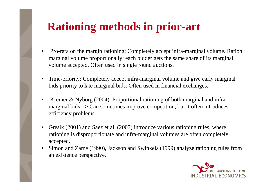### **Rationing methods in prior-art**

- • Pro-rata on the margin rationing: Completely accept infra-marginal volume. Ration marginal volume proportionally; each bidder gets the same share of its marginal volume accepted. Often used in single round auctions.
- • Time-priority: Completely accept infra-marginal volume and give early marginal bids priority to late marginal bids. Often used in financial exchanges.
- • Kremer & Nyborg (2004). Proportional rationing of both marginal and inframarginal bids => Can sometimes improve competition, but it often introduces efficiency problems.
- $\bullet$  Gresik (2001) and Saez et al. (2007) introduce various rationing rules, where rationing is disproportionate and infra-marginal volumes are often completely accepted.
- • Simon and Zame (1990), Jackson and Swinkels (1999) analyze rationing rules from an existence perspective.

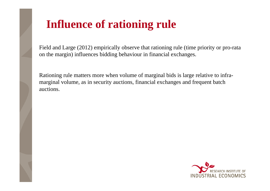# **Influence of rationing rule**

Field and Large (2012) empirically observe that rationing rule (time priority or pro-rata on the margin) influences bidding behaviour in financial exchanges.

Rationing rule matters more when volume of marginal bids is large relative to inframarginal volume, as in security auctions, financial exchanges and frequent batch auctions.

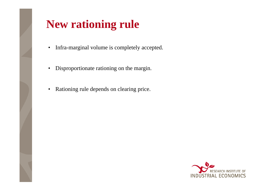

# **New rationing rule**

- •Infra-marginal volume is completely accepted.
- Disproportionate rationing on the margin.
- Rationing rule depends on clearing price.

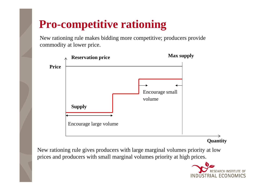## **Pro-competitive rationing**

New rationing rule makes bidding more competitive; producers provide commodity at lower price.



**Quantity**

New rationing rule gives producers with large marginal volumes priority at low prices and producers with small marginal volumes priority at high prices.

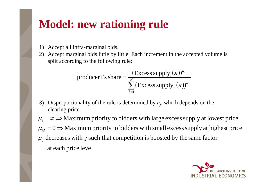## **Model: new rationing rule**

- 1) Accept all infra-marginal bids.
- 2) Accept marginal bids little by little. Each increment in the accepted volume is split according to the following rule:

$$
\text{producer i's share} = \frac{(\text{Excess supply}_i(\varepsilon))^{\mu_j}}{\sum_{k=1}^{N} (\text{Excess supply}_k(\varepsilon))^{\mu_j}}
$$

3) Disproportionality of the rule is determined by  $\mu_j$ , which depends on the clearing price.

at each price level  $\mu_j$  decreases with *j* such that competition is boosted by the same factor  $\mu_M = 0 \Rightarrow$  Maximum priority to bidders with small excess supply at highest price  $\mu_{\text{\tiny{l}}} = \infty \Longrightarrow$  Maximum priority to bidders with large excess supply at lowest price

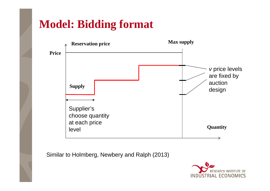#### **Model: Bidding format**



Similar to Holmberg, Newbery and Ralph (2013)

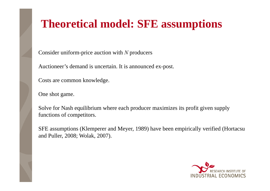# **Theoretical model: SFE assumptions**

Consider uniform-price auction with *N* producers

Auctioneer's demand is uncertain. It is announced ex-post.

Costs are common knowledge.

One shot game.

Solve for Nash equilibrium where each producer maximizes its profit given supply functions of competitors.

SFE assumptions (Klemperer and Meyer, 1989) have been empirically verified (Hortacsu and Puller, 2008; Wolak, 2007).

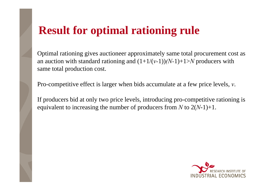#### **Result for optimal rationing rule**

Optimal rationing gives auctioneer approximately same total procurement cost as an auction with standard rationing and  $(1+1/(\nu-1))(N-1)+1>N$  producers with same total production cost.

Pro-competitive effect is larger when bids accumulate at a few price levels, *v*.

If producers bid at only two price levels, introducing pro-competitive rationing is equivalent to increasing the number of producers from *N* to 2(*N*-1)+1.

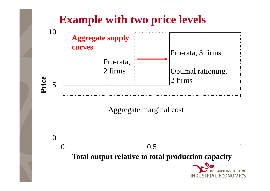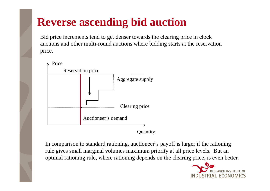## **Reverse ascending bid auction**

Bid price increments tend to get denser towards the clearing price in clock auctions and other multi-round auctions where bidding starts at the reservation price.



**Quantity** 

In comparison to standard rationing, auctioneer's payoff is larger if the rationing rule gives small marginal volumes maximum priority at all price levels. But an optimal rationing rule, where rationing depends on the clearing price, is even better.